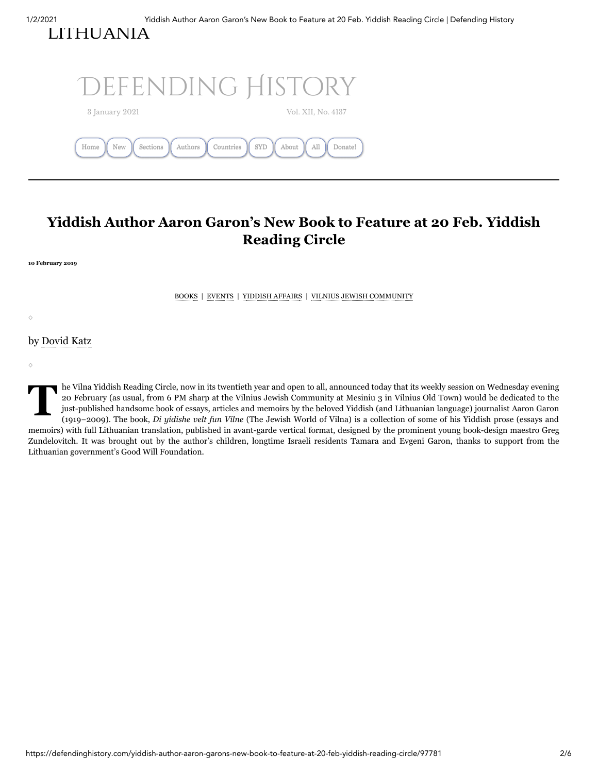[LITHUANIA](https://defendinghistory.com/?p=41021)



# **Yiddish Author Aaron Garon's New Book to Feature at 20 Feb. Yiddish Reading Circle**

**10 February 2019**

◊

◊

[BOOKS](https://defendinghistory.com/category/books) | [EVENTS](https://defendinghistory.com/category/events) | [YIDDISH](https://defendinghistory.com/category/yiddish-affairs) AFFAIRS | VILNIUS JEWISH [COMMUNITY](https://defendinghistory.com/category/vilnius-jewish-life-from-2016)

by [Dovid](http://www.dovidkatz.net/) Katz

le Vil<br>
20 Fe<br>
just-p<br>
(1919 he Vilna Yiddish Reading Circle, now in its twentieth year and open to all, announced today that its weekly session on Wednesday evening 20 February (as usual, from 6 PM sharp at the Vilnius Jewish Community at Mesiniu 3 in Vilnius Old Town) would be dedicated to the just-published handsome book of essays, articles and memoirs by the beloved Yiddish (and Lithuanian language) journalist Aaron Garon (1919−2009). The book, *Di yídishe velt fun Vílne* (The Jewish World of Vilna) is a collection of some of his Yiddish prose (essays and memoirs) with full Lithuanian translation, published in avant-garde vertical format, designed by the prominent young book-design maestro Greg Zundelovitch. It was brought out by the author's children, longtime Israeli residents Tamara and Evgeni Garon, thanks to support from the Lithuanian government's Good Will Foundation.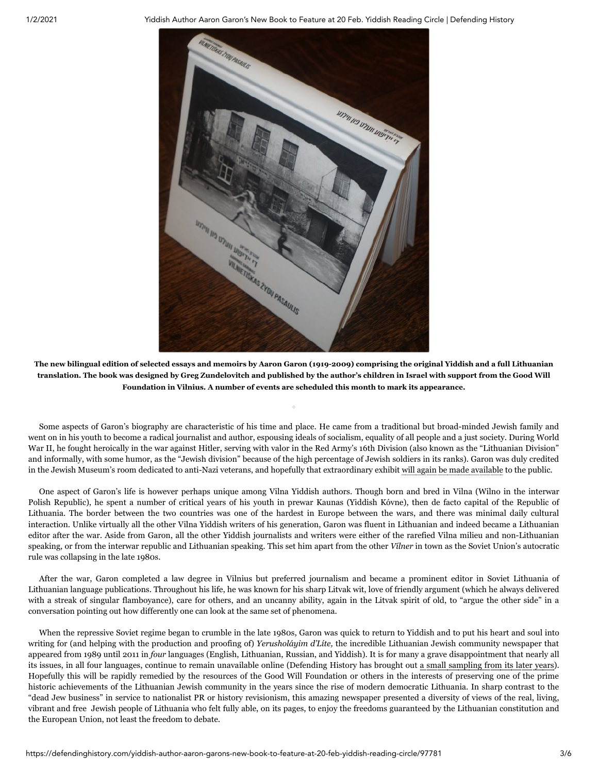

The new bilingual edition of selected essays and memoirs by Aaron Garon (1919-2009) comprising the original Yiddish and a full Lithuanian translation. The book was designed by Greg Zundelovitch and published by the author's children in Israel with support from the Good Will **Foundation in Vilnius. A number of events are scheduled this month to mark its appearance.**

◊

Some aspects of Garon's biography are characteristic of his time and place. He came from a traditional but broad-minded Jewish family and went on in his youth to become a radical journalist and author, espousing ideals of socialism, equality of all people and a just society. During World War II, he fought heroically in the war against Hitler, serving with valor in the Red Army's 16th Division (also known as the "Lithuanian Division" and informally, with some humor, as the "Jewish division" because of the high percentage of Jewish soldiers in its ranks). Garon was duly credited in the Jewish Museum's room dedicated to anti-Nazi veterans, and hopefully that extraordinary exhibit will again be made [available](https://defendinghistory.com/vilnius-exhibit-honoring-jewish-world-war-ii-veterans-has-disappeared/64181) to the public.

One aspect of Garon's life is however perhaps unique among Vilna Yiddish authors. Though born and bred in Vilna (Wilno in the interwar Polish Republic), he spent a number of critical years of his youth in prewar Kaunas (Yiddish Kóvne), then de facto capital of the Republic of Lithuania. The border between the two countries was one of the hardest in Europe between the wars, and there was minimal daily cultural interaction. Unlike virtually all the other Vilna Yiddish writers of his generation, Garon was fluent in Lithuanian and indeed became a Lithuanian editor after the war. Aside from Garon, all the other Yiddish journalists and writers were either of the rarefied Vilna milieu and non-Lithuanian speaking, or from the interwar republic and Lithuanian speaking. This set him apart from the other *Vílner* in town as the Soviet Union's autocratic rule was collapsing in the late 1980s.

After the war, Garon completed a law degree in Vilnius but preferred journalism and became a prominent editor in Soviet Lithuania of Lithuanian language publications. Throughout his life, he was known for his sharp Litvak wit, love of friendly argument (which he always delivered with a streak of singular flamboyance), care for others, and an uncanny ability, again in the Litvak spirit of old, to "argue the other side" in a conversation pointing out how differently one can look at the same set of phenomena.

When the repressive Soviet regime began to crumble in the late 1980s, Garon was quick to return to Yiddish and to put his heart and soul into writing for (and helping with the production and proofing of) *Yerusholáyim d'Líte,* the incredible Lithuanian Jewish community newspaper that appeared from 1989 until 2011 in *four* languages (English, Lithuanian, Russian, and Yiddish). It is for many a grave disappointment that nearly all its issues, in all four languages, continue to remain unavailable online (Defending History has brought out a small [sampling](https://defendinghistory.com/from-milan-chersonskis-jerusalem-of-lithuania) from its later years). Hopefully this will be rapidly remedied by the resources of the Good Will Foundation or others in the interests of preserving one of the prime historic achievements of the Lithuanian Jewish community in the years since the rise of modern democratic Lithuania. In sharp contrast to the "dead Jew business" in service to nationalist PR or history revisionism, this amazing newspaper presented a diversity of views of the real, living, vibrant and free Jewish people of Lithuania who felt fully able, on its pages, to enjoy the freedoms guaranteed by the Lithuanian constitution and the European Union, not least the freedom to debate.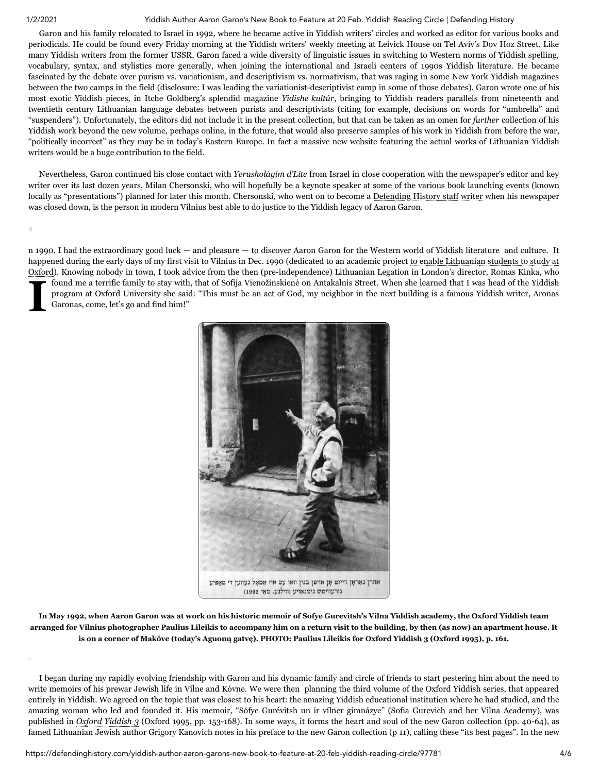◊

◊

## 1/2/2021 Yiddish Author Aaron Garon's New Book to Feature at 20 Feb. Yiddish Reading Circle | Defending History

Garon and his family relocated to Israel in 1992, where he became active in Yiddish writers' circles and worked as editor for various books and periodicals. He could be found every Friday morning at the Yiddish writers' weekly meeting at Leivick House on Tel Aviv's Dov Hoz Street. Like many Yiddish writers from the former USSR, Garon faced a wide diversity of linguistic issues in switching to Western norms of Yiddish spelling, vocabulary, syntax, and stylistics more generally, when joining the international and Israeli centers of 1990s Yiddish literature. He became fascinated by the debate over purism vs. variationism, and descriptivism vs. normativism, that was raging in some New York Yiddish magazines between the two camps in the field (disclosure: I was leading the variationist-descriptivist camp in some of those debates). Garon wrote one of his most exotic Yiddish pieces, in Itche Goldberg's splendid magazine *Yidishe kultúr*, bringing to Yiddish readers parallels from nineteenth and twentieth century Lithuanian language debates between purists and descriptivists (citing for example, decisions on words for "umbrella" and "suspenders"). Unfortunately, the editors did not include it in the present collection, but that can be taken as an omen for *further* collection of his Yiddish work beyond the new volume, perhaps online, in the future, that would also preserve samples of his work in Yiddish from before the war, "politically incorrect" as they may be in today's Eastern Europe. In fact a massive new website featuring the actual works of Lithuanian Yiddish writers would be a huge contribution to the field.

Nevertheless, Garon continued his close contact with *Yerusholáyim d'Lite* from Israel in close cooperation with the newspaper's editor and key writer over its last dozen years, Milan Chersonski, who will hopefully be a keynote speaker at some of the various book launching events (known locally as "presentations") planned for later this month. Chersonski, who went on to become a [Defending](https://defendinghistory.com/category/chersonski-milan?order=asc) History staff writer when his newspaper was closed down, is the person in modern Vilnius best able to do justice to the Yiddish legacy of Aaron Garon.

**I** fou pro<br>Gau n 1990, I had the extraordinary good luck — and pleasure — to discover Aaron Garon for the Western world of Yiddish literature and culture. It happened during the early days of my first visit to Vilnius in Dec. 1990 (dedicated to an academic project to enable Lithuanian students to study at Oxford). Knowing nobody in town, I took advice from the then [\(pre-independence\)](https://www.nytimes.com/1991/04/06/arts/lithuania-and-oxford-are-linked-by-yiddish.html) Lithuanian Legation in London's director, Romas Kinka, who found me a terrific family to stay with, that of Sofija Vienožinskienė on Antakalnis Street. When she learned that I was head of the Yiddish program at Oxford University she said: "This must be an act of God, my neighbor in the next building is a famous Yiddish writer, Aronas Garonas, come, let's go and find him!"



In May 1992, when Aaron Garon was at work on his historic memoir of Sofye Gurevitsh's Vilna Yiddish academy, the Oxford Yiddish team arranged for Vilnius photographer Paulius Lileikis to accompany him on a return visit to the building, by then (as now) an apartment house. It is on a corner of Makóve (today's Aguonu gatve). PHOTO: Paulius Lileikis for Oxford Yiddish 3 (Oxford 1995), p. 161.

I began during my rapidly evolving friendship with Garon and his dynamic family and circle of friends to start pestering him about the need to write memoirs of his prewar Jewish life in Vílne and Kóvne. We were then planning the third volume of the Oxford Yiddish series, that appeared entirely in Yiddish. We agreed on the topic that was closest to his heart: the amazing Yiddish educational institution where he had studied, and the amazing woman who led and founded it. His memoir, "Sófye Gurévitsh un ir vílner gimnázye" (Sofia Gurevich and her Vilna Academy), was published in *Oxford [Yiddish 3](http://www.dovidkatz.net/dovid/1995_Oxford_Yiddish_III_title&contents.pdf)* (Oxford 1995, pp. 153-168). In some ways, it forms the heart and soul of the new Garon collection (pp. 40-64), as famed Lithuanian Jewish author Grigory Kanovich notes in his preface to the new Garon collection (p 11), calling these "its best pages". In the new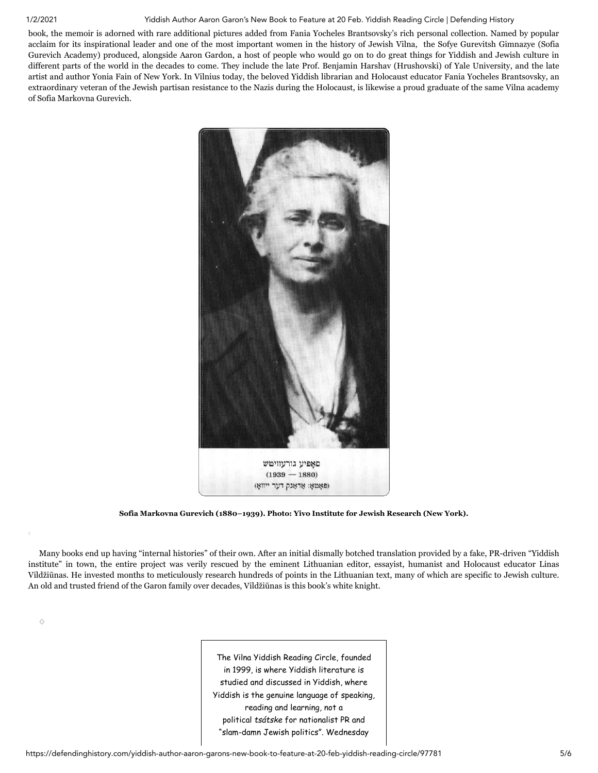◊

### 1/2/2021 Yiddish Author Aaron Garon's New Book to Feature at 20 Feb. Yiddish Reading Circle | Defending History

book, the memoir is adorned with rare additional pictures added from Fania Yocheles Brantsovsky's rich personal collection. Named by popular acclaim for its inspirational leader and one of the most important women in the history of Jewish Vilna, the Sofye Gurevitsh Gimnazye (Sofia Gurevich Academy) produced, alongside Aaron Gardon, a host of people who would go on to do great things for Yiddish and Jewish culture in different parts of the world in the decades to come. They include the late Prof. Benjamin Harshav (Hrushovski) of Yale University, and the late artist and author Yonia Fain of New York. In Vilnius today, the beloved Yiddish librarian and Holocaust educator Fania Yocheles Brantsovsky, an extraordinary veteran of the Jewish partisan resistance to the Nazis during the Holocaust, is likewise a proud graduate of the same Vilna academy of Sofia Markovna Gurevich.



**Sofia Markovna Gurevich (1880−1939). Photo: Yivo Institute for Jewish Research (New York).**

Many books end up having "internal histories" of their own. After an initial dismally botched translation provided by a fake, PR-driven "Yiddish institute" in town, the entire project was verily rescued by the eminent Lithuanian editor, essayist, humanist and Holocaust educator Linas Vildžiūnas. He invested months to meticulously research hundreds of points in the Lithuanian text, many of which are specific to Jewish culture. An old and trusted friend of the Garon family over decades, Vildžiūnas is this book's white knight.

> The Vilna Yiddish Reading Circle, founded in 1999, is where Yiddish literature is studied and discussed in Yiddish, where Yiddish is the genuine language of speaking, reading and learning, not a political *tsátske* for nationalist PR and "slam-damn Jewish politics". Wednesday